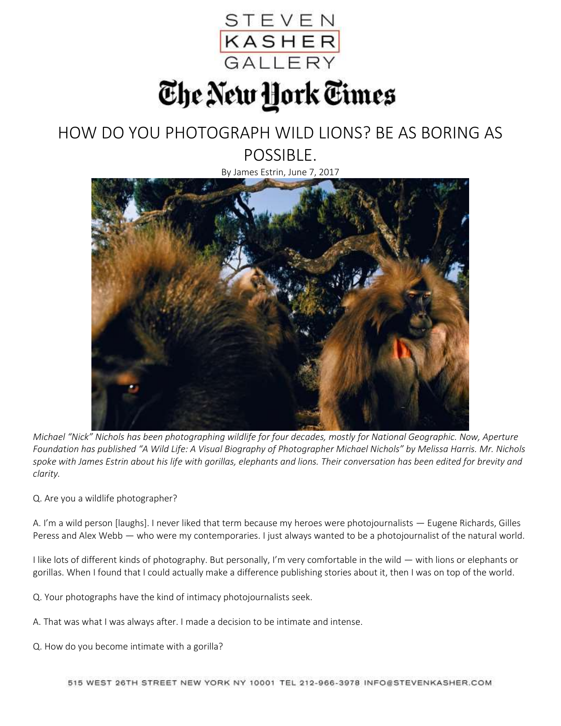

## The New York Times

## HOW DO YOU PHOTOGRAPH WILD LIONS? BE AS BORING AS POSSIBLE.

By James Estrin, June 7, 2017



*Michael "Nick" Nichols has been photographing wildlife for four decades, mostly for National Geographic. Now, Aperture Foundation has published "A Wild Life: A Visual Biography of Photographer Michael Nichols" by Melissa Harris. Mr. Nichols spoke with James Estrin about his life with gorillas, elephants and lions. Their conversation has been edited for brevity and clarity.*

Q. Are you a wildlife photographer?

A. I'm a wild person [laughs]. I never liked that term because my heroes were photojournalists — Eugene Richards, Gilles Peress and Alex Webb — who were my contemporaries. I just always wanted to be a photojournalist of the natural world.

I like lots of different kinds of photography. But personally, I'm very comfortable in the wild — with lions or elephants or gorillas. When I found that I could actually make a difference publishing stories about it, then I was on top of the world.

Q. Your photographs have the kind of intimacy photojournalists seek.

A. That was what I was always after. I made a decision to be intimate and intense.

Q. How do you become intimate with a gorilla?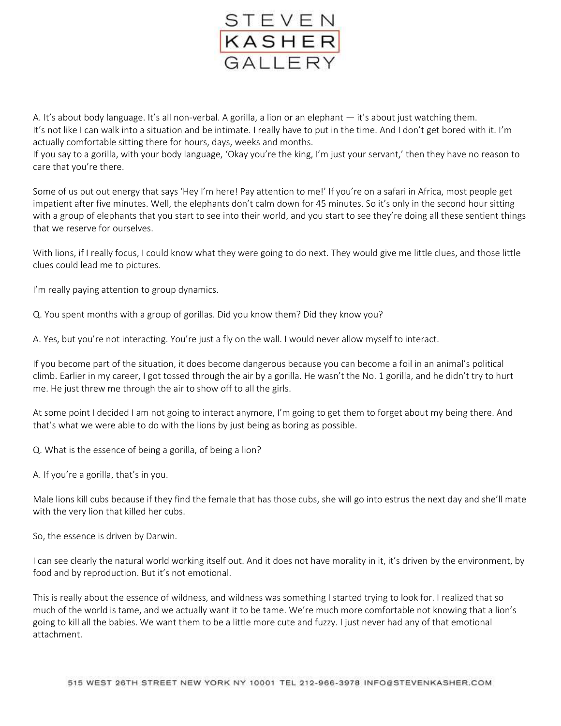

A. It's about body language. It's all non-verbal. A gorilla, a lion or an elephant — it's about just watching them. It's not like I can walk into a situation and be intimate. I really have to put in the time. And I don't get bored with it. I'm actually comfortable sitting there for hours, days, weeks and months.

If you say to a gorilla, with your body language, 'Okay you're the king, I'm just your servant,' then they have no reason to care that you're there.

Some of us put out energy that says 'Hey I'm here! Pay attention to me!' If you're on a safari in Africa, most people get impatient after five minutes. Well, the elephants don't calm down for 45 minutes. So it's only in the second hour sitting with a group of elephants that you start to see into their world, and you start to see they're doing all these sentient things that we reserve for ourselves.

With lions, if I really focus, I could know what they were going to do next. They would give me little clues, and those little clues could lead me to pictures.

I'm really paying attention to group dynamics.

Q. You spent months with a group of gorillas. Did you know them? Did they know you?

A. Yes, but you're not interacting. You're just a fly on the wall. I would never allow myself to interact.

If you become part of the situation, it does become dangerous because you can become a foil in an animal's political climb. Earlier in my career, I got tossed through the air by a gorilla. He wasn't the No. 1 gorilla, and he didn't try to hurt me. He just threw me through the air to show off to all the girls.

At some point I decided I am not going to interact anymore, I'm going to get them to forget about my being there. And that's what we were able to do with the lions by just being as boring as possible.

Q. What is the essence of being a gorilla, of being a lion?

A. If you're a gorilla, that's in you.

Male lions kill cubs because if they find the female that has those cubs, she will go into estrus the next day and she'll mate with the very lion that killed her cubs.

So, the essence is driven by Darwin.

I can see clearly the natural world working itself out. And it does not have morality in it, it's driven by the environment, by food and by reproduction. But it's not emotional.

This is really about the essence of wildness, and wildness was something I started trying to look for. I realized that so much of the world is tame, and we actually want it to be tame. We're much more comfortable not knowing that a lion's going to kill all the babies. We want them to be a little more cute and fuzzy. I just never had any of that emotional attachment.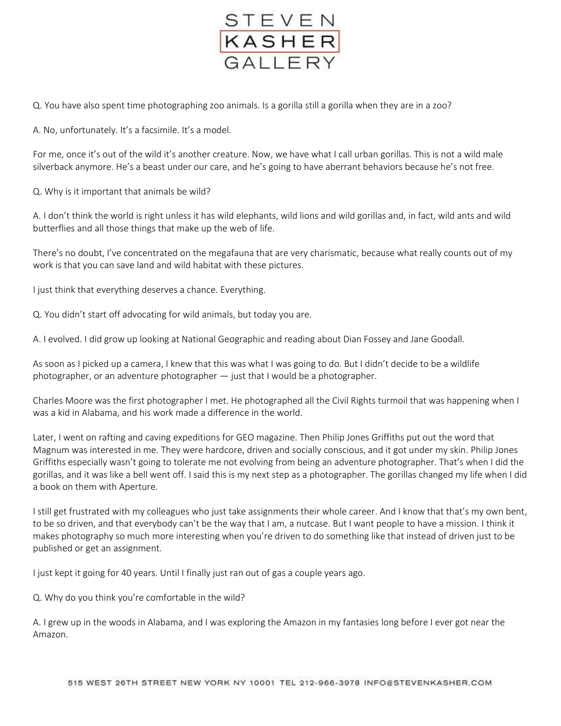

Q. You have also spent time photographing zoo animals. Is a gorilla still a gorilla when they are in a zoo?

A. No, unfortunately. It's a facsimile. It's a model.

For me, once it's out of the wild it's another creature. Now, we have what I call urban gorillas. This is not a wild male silverback anymore. He's a beast under our care, and he's going to have aberrant behaviors because he's not free.

Q. Why is it important that animals be wild?

A. I don't think the world is right unless it has wild elephants, wild lions and wild gorillas and, in fact, wild ants and wild butterflies and all those things that make up the web of life.

There's no doubt, I've concentrated on the megafauna that are very charismatic, because what really counts out of my work is that you can save land and wild habitat with these pictures.

I just think that everything deserves a chance. Everything.

Q. You didn't start off advocating for wild animals, but today you are.

A. I evolved. I did grow up looking at National Geographic and reading about Dian Fossey and Jane Goodall.

As soon as I picked up a camera, I knew that this was what I was going to do. But I didn't decide to be a wildlife photographer, or an adventure photographer — just that I would be a photographer.

Charles Moore was the first photographer I met. He photographed all the Civil Rights turmoil that was happening when I was a kid in Alabama, and his work made a difference in the world.

Later, I went on rafting and caving expeditions for GEO magazine. Then Philip Jones Griffiths put out the word that Magnum was interested in me. They were hardcore, driven and socially conscious, and it got under my skin. Philip Jones Griffiths especially wasn't going to tolerate me not evolving from being an adventure photographer. That's when I did the gorillas, and it was like a bell went off. I said this is my next step as a photographer. The gorillas changed my life when I did a book on them with Aperture.

I still get frustrated with my colleagues who just take assignments their whole career. And I know that that's my own bent, to be so driven, and that everybody can't be the way that I am, a nutcase. But I want people to have a mission. I think it makes photography so much more interesting when you're driven to do something like that instead of driven just to be published or get an assignment.

I just kept it going for 40 years. Until I finally just ran out of gas a couple years ago.

Q. Why do you think you're comfortable in the wild?

A. I grew up in the woods in Alabama, and I was exploring the Amazon in my fantasies long before I ever got near the Amazon.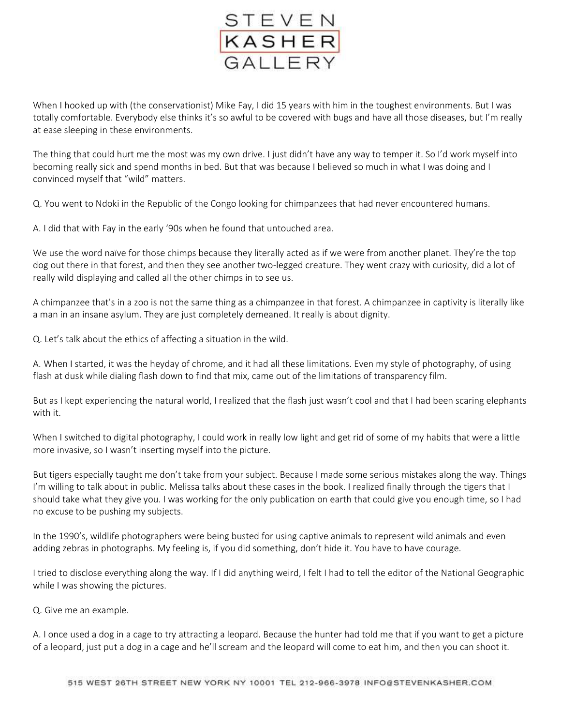

When I hooked up with (the conservationist) Mike Fay, I did 15 years with him in the toughest environments. But I was totally comfortable. Everybody else thinks it's so awful to be covered with bugs and have all those diseases, but I'm really at ease sleeping in these environments.

The thing that could hurt me the most was my own drive. I just didn't have any way to temper it. So I'd work myself into becoming really sick and spend months in bed. But that was because I believed so much in what I was doing and I convinced myself that "wild" matters.

Q. You went to Ndoki in the Republic of the Congo looking for chimpanzees that had never encountered humans.

A. I did that with Fay in the early '90s when he found that untouched area.

We use the word naïve for those chimps because they literally acted as if we were from another planet. They're the top dog out there in that forest, and then they see another two-legged creature. They went crazy with curiosity, did a lot of really wild displaying and called all the other chimps in to see us.

A chimpanzee that's in a zoo is not the same thing as a chimpanzee in that forest. A chimpanzee in captivity is literally like a man in an insane asylum. They are just completely demeaned. It really is about dignity.

Q. Let's talk about the ethics of affecting a situation in the wild.

A. When I started, it was the heyday of chrome, and it had all these limitations. Even my style of photography, of using flash at dusk while dialing flash down to find that mix, came out of the limitations of transparency film.

But as I kept experiencing the natural world, I realized that the flash just wasn't cool and that I had been scaring elephants with it.

When I switched to digital photography, I could work in really low light and get rid of some of my habits that were a little more invasive, so I wasn't inserting myself into the picture.

But tigers especially taught me don't take from your subject. Because I made some serious mistakes along the way. Things I'm willing to talk about in public. Melissa talks about these cases in the book. I realized finally through the tigers that I should take what they give you. I was working for the only publication on earth that could give you enough time, so I had no excuse to be pushing my subjects.

In the 1990's, wildlife photographers were being busted for using captive animals to represent wild animals and even adding zebras in photographs. My feeling is, if you did something, don't hide it. You have to have courage.

I tried to disclose everything along the way. If I did anything weird, I felt I had to tell the editor of the National Geographic while I was showing the pictures.

Q. Give me an example.

A. I once used a dog in a cage to try attracting a leopard. Because the hunter had told me that if you want to get a picture of a leopard, just put a dog in a cage and he'll scream and the leopard will come to eat him, and then you can shoot it.